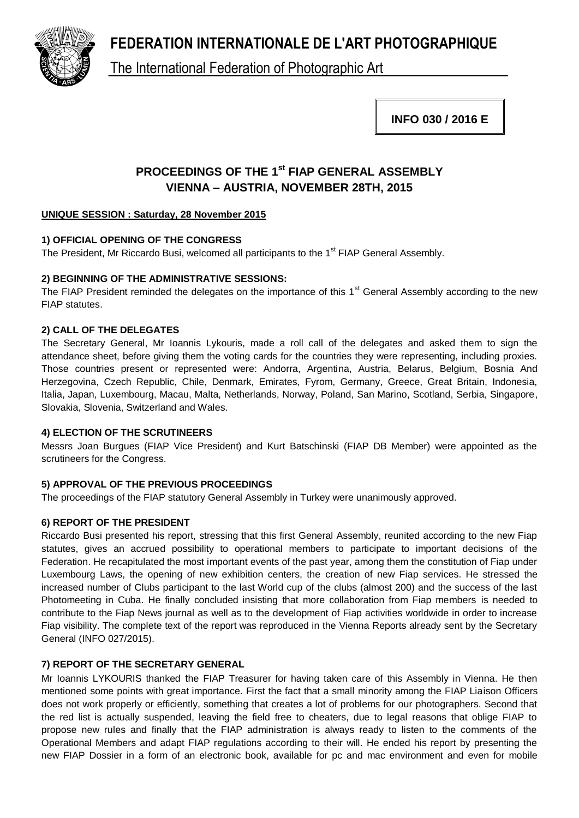**FEDERATION INTERNATIONALE DE L'ART PHOTOGRAPHIQUE**



The International Federation of Photographic Art

**INFO 030 / 2016 E**

# **PROCEEDINGS OF THE 1st FIAP GENERAL ASSEMBLY VIENNA – AUSTRIA, NOVEMBER 28TH, 2015**

# **UNIQUE SESSION : Saturday, 28 November 2015**

# **1) OFFICIAL OPENING OF THE CONGRESS**

The President, Mr Riccardo Busi, welcomed all participants to the 1<sup>st</sup> FIAP General Assembly.

# **2) BEGINNING OF THE ADMINISTRATIVE SESSIONS:**

The FIAP President reminded the delegates on the importance of this 1<sup>st</sup> General Assembly according to the new FIAP statutes.

# **2) CALL OF THE DELEGATES**

The Secretary General, Mr Ioannis Lykouris, made a roll call of the delegates and asked them to sign the attendance sheet, before giving them the voting cards for the countries they were representing, including proxies. Those countries present or represented were: Andorra, Argentina, Austria, Belarus, Belgium, Bosnia And Herzegovina, Czech Republic, Chile, Denmark, Emirates, Fyrom, Germany, Greece, Great Britain, Indonesia, Italia, Japan, Luxembourg, Macau, Malta, Netherlands, Norway, Poland, San Marino, Scotland, Serbia, Singapore, Slovakia, Slovenia, Switzerland and Wales.

### **4) ELECTION OF THE SCRUTINEERS**

Messrs Joan Burgues (FIAP Vice President) and Kurt Batschinski (FIAP DB Member) were appointed as the scrutineers for the Congress.

# **5) APPROVAL OF THE PREVIOUS PROCEEDINGS**

The proceedings of the FIAP statutory General Assembly in Turkey were unanimously approved.

# **6) REPORT OF THE PRESIDENT**

Riccardo Busi presented his report, stressing that this first General Assembly, reunited according to the new Fiap statutes, gives an accrued possibility to operational members to participate to important decisions of the Federation. He recapitulated the most important events of the past year, among them the constitution of Fiap under Luxembourg Laws, the opening of new exhibition centers, the creation of new Fiap services. He stressed the increased number of Clubs participant to the last World cup of the clubs (almost 200) and the success of the last Photomeeting in Cuba. He finally concluded insisting that more collaboration from Fiap members is needed to contribute to the Fiap News journal as well as to the development of Fiap activities worldwide in order to increase Fiap visibility. The complete text of the report was reproduced in the Vienna Reports already sent by the Secretary General (INFO 027/2015).

# **7) REPORT OF THE SECRETARY GENERAL**

Mr Ioannis LYKOURIS thanked the FIAP Treasurer for having taken care of this Assembly in Vienna. He then mentioned some points with great importance. First the fact that a small minority among the FIAP Liaison Officers does not work properly or efficiently, something that creates a lot of problems for our photographers. Second that the red list is actually suspended, leaving the field free to cheaters, due to legal reasons that oblige FIAP to propose new rules and finally that the FIAP administration is always ready to listen to the comments of the Operational Members and adapt FIAP regulations according to their will. He ended his report by presenting the new FIAP Dossier in a form of an electronic book, available for pc and mac environment and even for mobile